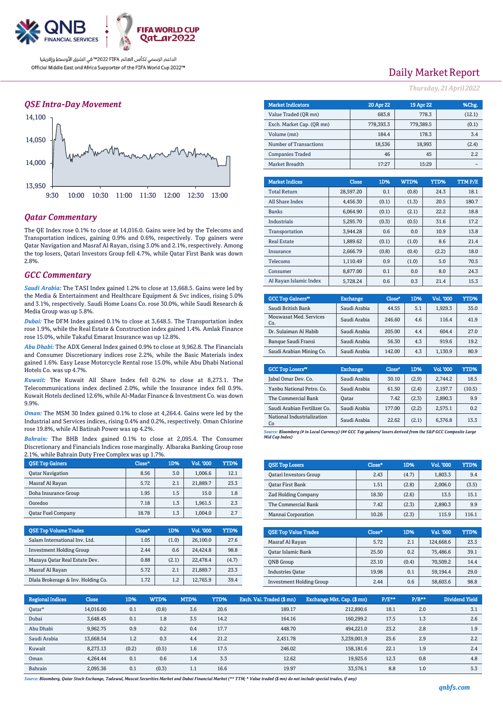

### *QSE Intra-Day Movement*



## *Qatar Commentary*

The QE Index rose 0.1% to close at 14,016.0. Gains were led by the Telecoms and Transportation indices, gaining 0.9% and 0.6%, respectively. Top gainers were Qatar Navigation and Masraf Al Rayan, rising 3.0% and 2.1%, respectively. Among the top losers, Qatari Investors Group fell 4.7%, while Qatar First Bank was down 2.8%.

## *GCC Commentary*

*Saudi Arabia:* The TASI Index gained 1.2% to close at 13,668.5. Gains were led by the Media & Entertainment and Healthcare Equipment & Svc indices, rising 5.0% and 3.1%, respectively. Saudi Home Loans Co. rose 30.0%, while Saudi Research & Media Group was up 5.8%.

*Dubai:* The DFM Index gained 0.1% to close at 3,648.5. The Transportation index rose 1.9%, while the Real Estate & Construction index gained 1.4%. Amlak Finance rose 15.0%, while Takaful Emarat Insurance was up 12.8%.

*Abu Dhabi:* The ADX General Index gained 0.9% to close at 9,962.8. The Financials and Consumer Discretionary indices rose 2.2%, while the Basic Materials index gained 1.6%. Easy Lease Motorcycle Rental rose 15.0%, while Abu Dhabi National Hotels Co. was up 4.7%.

*Kuwait:* The Kuwait All Share Index fell 0.2% to close at 8,273.1. The Telecommunications index declined 2.0%, while the Insurance index fell 0.9%. Kuwait Hotels declined 12.6%, while Al-Madar Finance & Investment Co. was down 9.9%.

*Oman:* The MSM 30 Index gained 0.1% to close at 4,264.4. Gains were led by the Industrial and Services indices, rising 0.4% and 0.2%, respectively. Oman Chlorine rose 19.8%, while Al Batinah Power was up 4.2%.

*Bahrain:* The BHB Index gained 0.1% to close at 2,095.4. The Consumer Discretionary and Financials Indices rose marginally. Albaraka Banking Group rose 2.1%, while Bahrain Duty Free Complex was up 1.7%.

| <b>OSE Top Gainers</b>    | Close* | 1D% | Vol. '000 | <b>YTD%</b> |
|---------------------------|--------|-----|-----------|-------------|
| <b>Oatar Navigation</b>   | 8.56   | 3.0 | 1.006.6   | 12.1        |
| Masraf Al Rayan           | 5.72   | 2.1 | 21,889.7  | 23.3        |
| Doha Insurance Group      | 1.95   | 1.5 | 15.0      | 1.8         |
| Ooredoo                   | 7.18   | 1.3 | 1.961.5   | 2.3         |
| <b>Oatar Fuel Company</b> | 18.78  | 1.3 | 1.004.0   | 2.7         |

| <b>OSE Top Volume Trades</b>       | Close* | 1D%   | <b>Vol. '000</b> | YTD%  |
|------------------------------------|--------|-------|------------------|-------|
| Salam International Inv. Ltd.      | 1.05   | (1.0) | 26,100.0         | 27.6  |
| <b>Investment Holding Group</b>    | 2.44   | 0.6   | 24.424.8         | 98.8  |
| Mazaya Qatar Real Estate Dev.      | 0.88   | (2.1) | 22,478.4         | (4.7) |
| Masraf Al Rayan                    | 5.72   | 2.1   | 21,889.7         | 23.3  |
| Dlala Brokerage & Inv. Holding Co. | 1.72   | 1.2   | 12,765.9         | 39.4  |

## Daily Market Report

*Thursday, 21April 2022*

| <b>Market Indicators</b>  | 20 Apr 22 | 19 Apr 22 | %Chg.  |
|---------------------------|-----------|-----------|--------|
| Value Traded (OR mn)      | 683.8     | 778.3     | (12.1) |
| Exch. Market Cap. (OR mn) | 778,393.3 | 779,389.5 | (0.1)  |
| Volume (mn)               | 184.4     | 178.3     | 3.4    |
| Number of Transactions    | 18,536    | 18,993    | (2.4)  |
| <b>Companies Traded</b>   | 46        | 45        | 2.2    |
| Market Breadth            | 17:27     | 15:29     |        |

| <b>Market Indices</b>  | <b>Close</b> | 1D%   | WTD%  | YTD%  | <b>TTMP/E</b> |
|------------------------|--------------|-------|-------|-------|---------------|
| <b>Total Return</b>    | 28,597.20    | 0.1   | (0.8) | 24.3  | 18.1          |
| All Share Index        | 4.456.30     | (0.1) | (1.3) | 20.5  | 180.7         |
| <b>Banks</b>           | 6,064.90     | (0.1) | (2.1) | 22.2  | 18.8          |
| <b>Industrials</b>     | 5.295.70     | (0.3) | (0.5) | 31.6  | 17.2          |
| Transportation         | 3.944.28     | 0.6   | 0.0   | 10.9  | 13.8          |
| <b>Real Estate</b>     | 1.889.62     | (0.1) | (1.0) | 8.6   | 21.4          |
| Insurance              | 2.666.79     | (0.8) | (0.4) | (2.2) | 18.0          |
| <b>Telecoms</b>        | 1.110.49     | 0.9   | (1.0) | 5.0   | 70.5          |
| Consumer               | 8.877.00     | 0.1   | 0.0   | 8.0   | 24.3          |
| Al Ravan Islamic Index | 5.728.24     | 0.6   | 0.3   | 21.4  | 15.3          |

| <b>GCC Top Gainers</b> "      | <b>Exchange</b> | Close* | 1D% | Vol. '000 | YTD% |
|-------------------------------|-----------------|--------|-----|-----------|------|
| Saudi British Bank            | Saudi Arabia    | 44.55  | 5.1 | 1,929.3   | 35.0 |
| Mouwasat Med. Services<br>Co. | Saudi Arabia    | 246.60 | 4.6 | 116.4     | 41.9 |
| Dr. Sulaiman Al Habib         | Saudi Arabia    | 205.00 | 4.4 | 604.4     | 27.0 |
| Banque Saudi Fransi           | Saudi Arabia    | 56.30  | 4.3 | 919.6     | 19.2 |
| Saudi Arabian Mining Co.      | Saudi Arabia    | 142.00 | 4.3 | 1,130.9   | 80.9 |

| <b>GCC Top Losers</b> "          | <b>Exchange</b> | Close <sup>®</sup> | 1D%   | Vol. '000 | YTD%   |
|----------------------------------|-----------------|--------------------|-------|-----------|--------|
| Jabal Omar Dev. Co.              | Saudi Arabia    | 30.10              | (2.9) | 2,744.2   | 18.5   |
| Yanbu National Petro. Co.        | Saudi Arabia    | 61.50              | (2.4) | 2.197.7   | (10.5) |
| The Commercial Bank              | Oatar           | 7.42               | (2.3) | 2,890.3   | 9.9    |
| Saudi Arabian Fertilizer Co.     | Saudi Arabia    | 177.00             | (2.2) | 2.575.1   | 0.2    |
| National Industrialization<br>Co | Saudi Arabia    | 22.62              | (2.1) | 6,376.8   | 13.3   |

*Source: Bloomberg (# in Local Currency) (## GCC Top gainers/ losers derived from the S&P GCC Composite Large Mid Cap Index)*

| <b>QSE Top Losers</b>         | Close* | 1D%   | Vol. '000 | YTD%  |
|-------------------------------|--------|-------|-----------|-------|
| <b>Qatari Investors Group</b> | 2.43   | (4.7) | 1,803.3   | 9.4   |
| Oatar First Bank              | 1.51   | (2.8) | 2.006.0   | (3.5) |
| <b>Zad Holding Company</b>    | 18.30  | (2.6) | 13.5      | 15.1  |
| The Commercial Bank           | 7.42   | (2.3) | 2,890.3   | 9.9   |
| Mannai Corporation            | 10.26  | (2.3) | 115.9     | 116.1 |

| <b>OSE Top Value Trades</b>     | Close* | 1D%   | Val. '000 | YTD% |
|---------------------------------|--------|-------|-----------|------|
| Masraf Al Rayan                 | 5.72   | 2.1   | 124.668.6 | 23.3 |
| Qatar Islamic Bank              | 25.50  | 0.2   | 75.486.6  | 39.1 |
| <b>ONB</b> Group                | 23.10  | (0.4) | 70,509.2  | 14.4 |
| <b>Industries Oatar</b>         | 19.98  | 0.1   | 59.194.4  | 29.0 |
| <b>Investment Holding Group</b> | 2.44   | 0.6   | 58,603.6  | 98.8 |

| <b>Regional Indices</b> | <b>Close</b> | 1D%   | WTD%  | MTD% | YTD% | Exch. Val. Traded (\$mn) | Exchange Mkt. Cap. (\$ mn) | P/E** | $P/B***$ | Dividend Yield |
|-------------------------|--------------|-------|-------|------|------|--------------------------|----------------------------|-------|----------|----------------|
| Oatar*                  | 14.016.00    | 0.1   | (0.8) | 3.6  | 20.6 | 189.17                   | 212,890.6                  | 18.1  | 2.0      | 3.1            |
| Dubai                   | 3.648.45     | 0.1   | 1.8   | 3.5  | 14.2 | 164.16                   | 160.299.2                  | 17.5  | 1.3      | 2.6            |
| Abu Dhabi               | 9.962.75     | 0.9   | 0.2   | 0.4  | 17.7 | 448.70                   | 494.221.0                  | 23.2  | 2.8      | 1.9            |
| Saudi Arabia            | 13,668.54    | 1.2   | 0.3   | 4.4  | 21.2 | 2,451.78                 | 3,239,001.9                | 25.6  | 2.9      | 2.2            |
| Kuwait                  | 8,273.13     | (0.2) | (0.5) | 1.6  | 17.5 | 246.02                   | 158,181.6                  | 22.1  | 1.9      | 2.4            |
| Oman                    | 4.264.44     | 0.1   | 0.6   | 1.4  | 3.3  | 12.62                    | 19.925.6                   | 12.3  | 0.8      | 4.8            |
| Bahrain                 | 2.095.36     | 0.1   | (0.3) | 1.1  | 16.6 | 19.97                    | 33.576.1                   | 8.8   | 1.0      | 5.3            |

*Source: Bloomberg, Qatar Stock Exchange, Tadawul, Muscat Securities Market and Dubai Financial Market (\*\* TTM; \* Value traded (\$ mn) do not include special trades, if any)*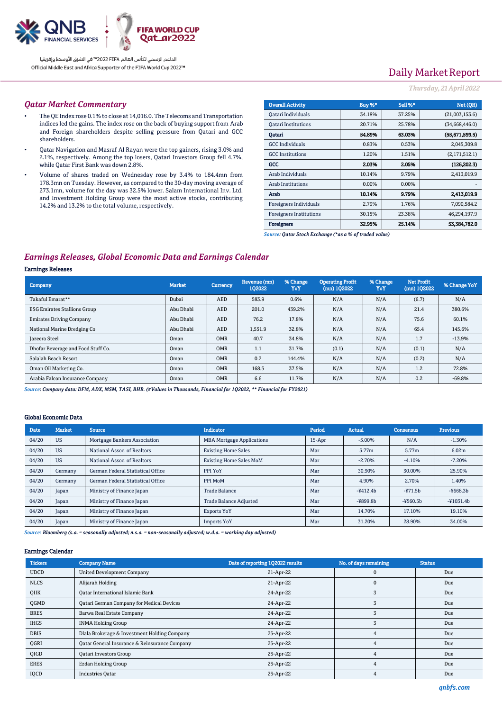

# Daily Market Report

### *Thursday, 21April 2022*

### *Qatar Market Commentary*

- The QE Index rose 0.1% to close at 14,016.0. The Telecoms and Transportation indices led the gains. The index rose on the back of buying support from Arab and Foreign shareholders despite selling pressure from Qatari and GCC shareholders.
- Qatar Navigation and Masraf Al Rayan were the top gainers, rising 3.0% and 2.1%, respectively. Among the top losers, Qatari Investors Group fell 4.7%, while Qatar First Bank was down 2.8%.
- Volume of shares traded on Wednesday rose by 3.4% to 184.4mn from 178.3mn on Tuesday. However, as compared to the 30-day moving average of 273.1mn, volume for the day was 32.5% lower. Salam International Inv. Ltd. and Investment Holding Group were the most active stocks, contributing 14.2% and 13.2% to the total volume, respectively.

| <b>Overall Activity</b>        | Buy %* | <b>Sell %*</b> | Net (QR)       |
|--------------------------------|--------|----------------|----------------|
| Qatari Individuals             | 34.18% | 37.25%         | (21,003,153.6) |
| <b>Oatari Institutions</b>     | 20.71% | 25.78%         | (34,668,446.0) |
| Oatari                         | 54.89% | 63.03%         | (55,671,599.5) |
| <b>GCC</b> Individuals         | 0.83%  | 0.53%          | 2,045,309.8    |
| <b>GCC</b> Institutions        | 1.20%  | 1.51%          | (2,171,512.1)  |
| GCC                            | 2.03%  | 2.05%          | (126, 202.3)   |
| Arab Individuals               | 10.14% | 9.79%          | 2,413,019.9    |
| Arab Institutions              | 0.00%  | 0.00%          |                |
| Arab                           | 10.14% | 9.79%          | 2.413,019.9    |
| Foreigners Individuals         | 2.79%  | 1.76%          | 7,090,584.2    |
| <b>Foreigners Institutions</b> | 30.15% | 23.38%         | 46.294.197.9   |
| <b>Foreigners</b>              | 32.95% | 25.14%         | 53,384,782.0   |

*Source: Qatar Stock Exchange (\*as a % of traded value)*

## *Earnings Releases, Global Economic Data and Earnings Calendar*

### Earnings Releases

| Company                             | <b>Market</b> | <b>Currency</b> | Revenue (mn)<br>102022 | % Change<br>YoY | <b>Operating Profit</b><br>$(mn)$ 102022 | % Change<br>YoY | <b>Net Profit</b><br>$(mn)$ 102022 | % Change YoY |
|-------------------------------------|---------------|-----------------|------------------------|-----------------|------------------------------------------|-----------------|------------------------------------|--------------|
| Takaful Emarat**                    | Dubai         | <b>AED</b>      | 583.9                  | 0.6%            | N/A                                      | N/A             | (6.7)                              | N/A          |
| <b>ESG Emirates Stallions Group</b> | Abu Dhabi     | <b>AED</b>      | 201.0                  | 439.2%          | N/A                                      | N/A             | 21.4                               | 380.6%       |
| <b>Emirates Driving Company</b>     | Abu Dhabi     | <b>AED</b>      | 76.2                   | 17.8%           | N/A                                      | N/A             | 75.6                               | 60.1%        |
| National Marine Dredging Co         | Abu Dhabi     | <b>AED</b>      | 1,551.9                | 32.8%           | N/A                                      | N/A             | 65.4                               | 145.6%       |
| <b>Tazeera Steel</b>                | Oman          | <b>OMR</b>      | 40.7                   | 34.8%           | N/A                                      | N/A             | 1.7                                | $-13.9%$     |
| Dhofar Beverage and Food Stuff Co.  | Oman          | <b>OMR</b>      | 1.1                    | 31.7%           | (0.1)                                    | N/A             | (0.1)                              | N/A          |
| Salalah Beach Resort                | Oman          | <b>OMR</b>      | 0.2                    | 144.4%          | N/A                                      | N/A             | (0.2)                              | N/A          |
| Oman Oil Marketing Co.              | Oman          | <b>OMR</b>      | 168.5                  | 37.5%           | N/A                                      | N/A             | 1.2                                | 72.8%        |
| Arabia Falcon Insurance Company     | Oman          | <b>OMR</b>      | 6.6                    | 11.7%           | N/A                                      | N/A             | 0.2                                | $-69.8%$     |

*Source: Company data: DFM, ADX, MSM, TASI, BHB. (#Values in Thousands, Financial for 1Q2022, \*\* Financial for FY2021)*

#### Global Economic Data

| <b>Date</b> | <b>Market</b> | <b>Source</b>                     | <b>Indicator</b>                 | Period | <b>Actual</b> | <b>Consensus</b>  | <b>Previous</b> |
|-------------|---------------|-----------------------------------|----------------------------------|--------|---------------|-------------------|-----------------|
| 04/20       | <b>US</b>     | Mortgage Bankers Association      | <b>MBA Mortgage Applications</b> | 15-Apr | $-5.00%$      | N/A               | $-1.30%$        |
| 04/20       | <b>US</b>     | National Assoc. of Realtors       | <b>Existing Home Sales</b>       | Mar    | 5.77m         | 5.77 <sub>m</sub> | 6.02m           |
| 04/20       | <b>US</b>     | National Assoc. of Realtors       | <b>Existing Home Sales MoM</b>   | Mar    | $-2.70%$      | $-4.10%$          | $-7.20%$        |
| 04/20       | Germany       | German Federal Statistical Office | PPI YoY                          | Mar    | 30.90%        | 30.00%            | 25.90%          |
| 04/20       | Germany       | German Federal Statistical Office | PPI MoM                          | Mar    | 4.90%         | 2.70%             | 1.40%           |
| 04/20       | Japan         | Ministry of Finance Japan         | <b>Trade Balance</b>             | Mar    | $-4412.4b$    | $-471.5b$         | $-4668.3b$      |
| 04/20       | Japan         | Ministry of Finance Japan         | <b>Trade Balance Adjusted</b>    | Mar    | $-4899.8b$    | $-4560.5b$        | $-41031.4b$     |
| 04/20       | Japan         | Ministry of Finance Japan         | <b>Exports YoY</b>               | Mar    | 14.70%        | 17.10%            | 19.10%          |
| 04/20       | Japan         | Ministry of Finance Japan         | <b>Imports YoY</b>               | Mar    | 31.20%        | 28.90%            | 34.00%          |

*Source: Bloomberg (s.a. = seasonally adjusted; n.s.a. = non-seasonally adjusted; w.d.a. = working day adjusted)*

#### Earnings Calendar

| <b>Tickers</b> | <b>Company Name</b>                           | Date of reporting 1Q2022 results | No. of days remaining | <b>Status</b> |
|----------------|-----------------------------------------------|----------------------------------|-----------------------|---------------|
| <b>UDCD</b>    | <b>United Development Company</b>             | 21-Apr-22                        |                       | Due           |
| <b>NLCS</b>    | Alijarah Holding                              | 21-Apr-22                        |                       | Due           |
| QIIK           | <b>Qatar International Islamic Bank</b>       | 24-Apr-22                        |                       | Due           |
| QGMD           | Qatari German Company for Medical Devices     | 24-Apr-22                        |                       | Due           |
| <b>BRES</b>    | Barwa Real Estate Company                     | 24-Apr-22                        |                       | Due           |
| <b>IHGS</b>    | <b>INMA Holding Group</b>                     | 24-Apr-22                        |                       | Due           |
| <b>DBIS</b>    | Dlala Brokerage & Investment Holding Company  | 25-Apr-22                        |                       | Due           |
| QGRI           | Qatar General Insurance & Reinsurance Company | 25-Apr-22                        |                       | Due           |
| QIGD           | Qatari Investors Group                        | 25-Apr-22                        |                       | Due           |
| <b>ERES</b>    | Ezdan Holding Group                           | 25-Apr-22                        |                       | Due           |
| IQCD           | <b>Industries Oatar</b>                       | 25-Apr-22                        |                       | Due           |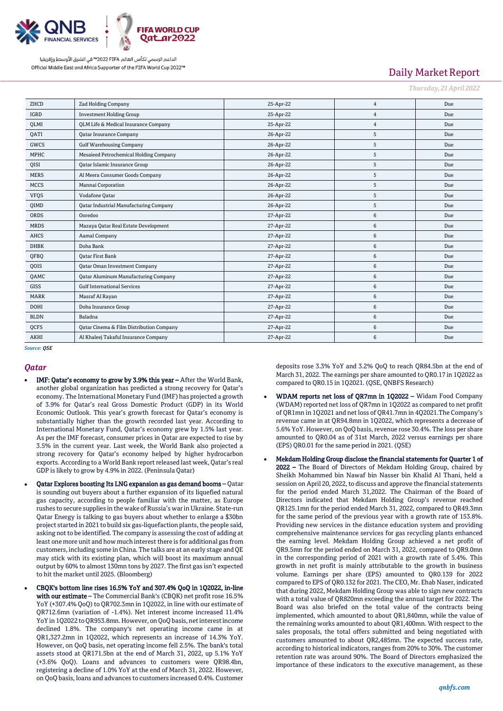

# Daily Market Report

*Thursday, 21April 2022*

| ZHCD        | <b>Zad Holding Company</b>                      | 25-Apr-22 | $\overline{4}$ | Due |
|-------------|-------------------------------------------------|-----------|----------------|-----|
| <b>IGRD</b> | <b>Investment Holding Group</b>                 | 25-Apr-22 | $\overline{4}$ | Due |
| QLMI        | <b>QLM Life &amp; Medical Insurance Company</b> | 25-Apr-22 | $\overline{4}$ | Due |
| <b>OATI</b> | <b>Qatar Insurance Company</b>                  | 26-Apr-22 | 5              | Due |
| GWCS        | <b>Gulf Warehousing Company</b>                 | 26-Apr-22 | 5              | Due |
| <b>MPHC</b> | Mesaieed Petrochemical Holding Company          | 26-Apr-22 | 5              | Due |
| QISI        | Qatar Islamic Insurance Group                   | 26-Apr-22 | 5              | Due |
| <b>MERS</b> | Al Meera Consumer Goods Company                 | 26-Apr-22 | 5              | Due |
| <b>MCCS</b> | Mannai Corporation                              | 26-Apr-22 | 5              | Due |
| <b>VFQS</b> | Vodafone Qatar                                  | 26-Apr-22 | 5              | Due |
| QIMD        | <b>Qatar Industrial Manufacturing Company</b>   | 26-Apr-22 | 5              | Due |
| ORDS        | Ooredoo                                         | 27-Apr-22 | 6              | Due |
| <b>MRDS</b> | Mazaya Qatar Real Estate Development            | 27-Apr-22 | 6              | Due |
| <b>AHCS</b> | Aamal Company                                   | 27-Apr-22 | 6              | Due |
| <b>DHBK</b> | Doha Bank                                       | 27-Apr-22 | 6              | Due |
| QFBQ        | <b>Qatar First Bank</b>                         | 27-Apr-22 | 6              | Due |
| QOIS        | <b>Qatar Oman Investment Company</b>            | 27-Apr-22 | 6              | Due |
| QAMC        | <b>Qatar Aluminum Manufacturing Company</b>     | 27-Apr-22 | 6              | Due |
| <b>GISS</b> | <b>Gulf International Services</b>              | 27-Apr-22 | 6              | Due |
| <b>MARK</b> | Masraf Al Rayan                                 | 27-Apr-22 | 6              | Due |
| <b>DOHI</b> | Doha Insurance Group                            | 27-Apr-22 | 6              | Due |
| <b>BLDN</b> | Baladna                                         | 27-Apr-22 | 6              | Due |
| QCFS        | Qatar Cinema & Film Distribution Company        | 27-Apr-22 | 6              | Due |
| <b>AKHI</b> | Al Khaleej Takaful Insurance Company            | 27-Apr-22 | 6              | Due |

*Source: QSE*

## *Qatar*

- IMF: Qatar's economy to grow by 3.9% this year After the World Bank, another global organization has predicted a strong recovery for Qatar's economy. The International Monetary Fund (IMF) has projected a growth of 3.9% for Qatar's real Gross Domestic Product (GDP) in its World Economic Outlook. This year's growth forecast for Qatar's economy is substantially higher than the growth recorded last year. According to International Monetary Fund, Qatar's economy grew by 1.5% last year. As per the IMF forecast, consumer prices in Qatar are expected to rise by 3.5% in the current year. Last week, the World Bank also projected a strong recovery for Qatar's economy helped by higher hydrocarbon exports. According to a World Bank report released last week, Qatar's real GDP is likely to grow by 4.9% in 2022. (Peninsula Qatar)
- Qatar Explores boosting Its LNG expansion as gas demand booms Qatar is sounding out buyers about a further expansion of its liquefied natural gas capacity, according to people familiar with the matter, as Europe rushes to secure supplies in the wake of Russia's war in Ukraine. State-run Qatar Energy is talking to gas buyers about whether to enlarge a \$30bn project started in 2021 to build six gas-liquefaction plants, the people said, asking not to be identified. The company is assessing the cost of adding at least one more unit and how much interest there is for additional gas from customers, including some in China. The talks are at an early stage and QE may stick with its existing plan, which will boost its maximum annual output by 60% to almost 130mn tons by 2027. The first gas isn't expected to hit the market until 2025. (Bloomberg)
- CBQK's bottom line rises 16.5% YoY and 307.4% QoQ in 1Q2022, in-line with our estimate – The Commercial Bank's (CBQK) net profit rose 16.5% YoY (+307.4% QoQ) to QR702.3mn in 1Q2022, in line with our estimate of QR712.6mn (variation of -1.4%). Net interest income increased 11.4% YoY in 1Q2022 to QR953.8mn. However, on QoQ basis, net interest income declined 1.8%. The company's net operating income came in at QR1,327.2mn in 1Q2022, which represents an increase of 14.3% YoY. However, on QoQ basis, net operating income fell 2.5%. The bank's total assets stood at QR171.5bn at the end of March 31, 2022, up 5.1% YoY (+3.6% QoQ). Loans and advances to customers were QR98.4bn, registering a decline of 1.0% YoY at the end of March 31, 2022. However, on QoQ basis, loans and advances to customers increased 0.4%. Customer

deposits rose 3.3% YoY and 3.2% QoQ to reach QR84.5bn at the end of March 31, 2022. The earnings per share amounted to QR0.17 in 1Q2022 as compared to QR0.15 in 1Q2021. (QSE, QNBFS Research)

- WDAM reports net loss of QR7mn in 1Q2022 Widam Food Company (WDAM) reported net loss of QR7mn in 1Q2022 as compared to net profit of QR1mn in 1Q2021 and net loss of QR41.7mn in 4Q2021.The Company's revenue came in at QR94.8mn in 1Q2022, which represents a decrease of 5.6% YoY. However, on QoQ basis, revenue rose 30.4%. The loss per share amounted to QR0.04 as of 31st March, 2022 versus earnings per share (EPS) QR0.01 for the same period in 2021. (QSE)
- Mekdam Holding Group disclose the financial statements for Quarter 1 of 2022 – The Board of Directors of Mekdam Holding Group, chaired by Sheikh Mohammed bin Nawaf bin Nasser bin Khalid Al Thani, held a session on April 20, 2022, to discuss and approve the financial statements for the period ended March 31,2022. The Chairman of the Board of Directors indicated that Mekdam Holding Group's revenue reached QR125.1mn for the period ended March 31, 2022, compared to QR49.3mn for the same period of the previous year with a growth rate of 153.8%. Providing new services in the distance education system and providing comprehensive maintenance services for gas recycling plants enhanced the earning level. Mekdam Holding Group achieved a net profit of QR9.5mn for the period ended on March 31, 2022, compared to QR9.0mn in the corresponding period of 2021 with a growth rate of 5.4%. This growth in net profit is mainly attributable to the growth in business volume. Earnings per share (EPS) amounted to QR0.139 for 2022 compared to EPS of QR0.132 for 2021. The CEO, Mr. Ehab Naser, indicated that during 2022, Mekdam Holding Group was able to sign new contracts with a total value of QR820mn exceeding the annual target for 2022. The Board was also briefed on the total value of the contracts being implemented, which amounted to about QR1,840mn, while the value of the remaining works amounted to about QR1,400mn. With respect to the sales proposals, the total offers submitted and being negotiated with customers amounted to about QR2,485mn. The expected success rate, according to historical indicators, ranges from 20% to 30%. The customer retention rate was around 90%. The Board of Directors emphasized the importance of these indicators to the executive management, as these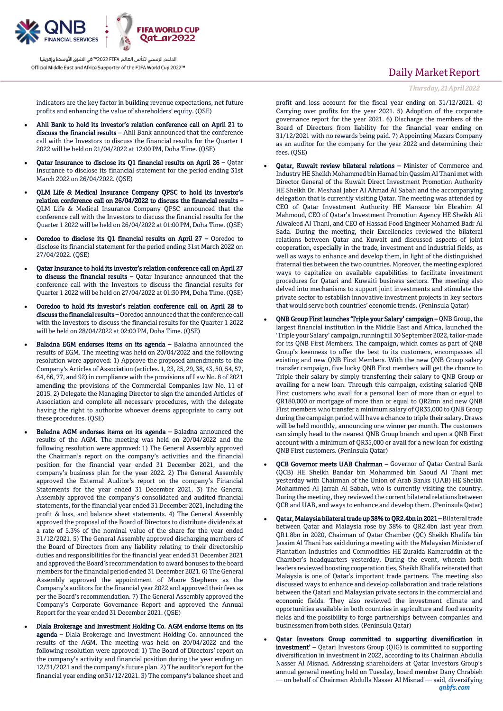

## Daily Market Report

*Thursday, 21April 2022*

indicators are the key factor in building revenue expectations, net future profits and enhancing the value of shareholders' equity. (QSE)

- Ahli Bank to hold its investor's relation conference call on April 21 to discuss the financial results - Ahli Bank announced that the conference call with the Investors to discuss the financial results for the Quarter 1 2022 will be held on 21/04/2022 at 12:00 PM, Doha Time. (QSE)
- Qatar Insurance to disclose its Q1 financial results on April 26 Qatar Insurance to disclose its financial statement for the period ending 31st March 2022 on 26/04/2022. (QSE)
- QLM Life & Medical Insurance Company QPSC to hold its investor's relation conference call on 26/04/2022 to discuss the financial results – QLM Life & Medical Insurance Company QPSC announced that the conference call with the Investors to discuss the financial results for the Quarter 1 2022 will be held on 26/04/2022 at 01:00 PM, Doha Time. (QSE)
- Ooredoo to disclose its Q1 financial results on April 27 Ooredoo to disclose its financial statement for the period ending 31st March 2022 on 27/04/2022. (QSE)
- Qatar Insurance to hold its investor's relation conference call on April 27 to discuss the financial results – Qatar Insurance announced that the conference call with the Investors to discuss the financial results for Quarter 1 2022 will be held on 27/04/2022 at 01:30 PM, Doha Time. (QSE)
- Ooredoo to hold its investor's relation conference call on April 28 to discuss the financial results – Ooredoo announced that the conference call with the Investors to discuss the financial results for the Quarter 1 2022 will be held on 28/04/2022 at 02:00 PM, Doha Time. (QSE)
- Baladna EGM endorses items on its agenda Baladna announced the results of EGM. The meeting was held on 20/04/2022 and the following resolution were approved: 1) Approve the proposed amendments to the Company's Articles of Association (articles. 1, 23, 25, 29, 38, 43, 50, 54, 57, 64, 66, 77, and 92) in compliance with the provisions of Law No. 8 of 2021 amending the provisions of the Commercial Companies law No. 11 of 2015. 2) Delegate the Managing Director to sign the amended Articles of Association and complete all necessary procedures, with the delegate having the right to authorize whoever deems appropriate to carry out these procedures. (QSE)
- Baladna AGM endorses items on its agenda Baladna announced the results of the AGM. The meeting was held on 20/04/2022 and the following resolution were approved: 1) The General Assembly approved the Chairman's report on the company's activities and the financial position for the financial year ended 31 December 2021, and the company's business plan for the year 2022. 2) The General Assembly approved the External Auditor's report on the company's Financial Statements for the year ended 31 December 2021. 3) The General Assembly approved the company's consolidated and audited financial statements, for the financial year ended 31 December 2021, including the profit & loss, and balance sheet statements. 4) The General Assembly approved the proposal of the Board of Directors to distribute dividends at a rate of 5.3% of the nominal value of the share for the year ended 31/12/2021. 5) The General Assembly approved discharging members of the Board of Directors from any liability relating to their directorship duties and responsibilities for the financial year ended 31 December 2021 and approved the Board's recommendation to award bonuses to the board members for the financial period ended 31 December 2021. 6) The General Assembly approved the appointment of Moore Stephens as the Company's auditors for the financial year 2022 and approved their fees as per the Board's recommendation. 7) The General Assembly approved the Company's Corporate Governance Report and approved the Annual Report for the year ended 31 December 2021. (QSE)
- Dlala Brokerage and Investment Holding Co. AGM endorse items on its agenda - Dlala Brokerage and Investment Holding Co. announced the results of the AGM. The meeting was held on 20/04/2022 and the following resolution were approved: 1) The Board of Directors' report on the company's activity and financial position during the year ending on 12/31/2021 and the company's future plan. 2) The auditor's report for the financial year ending on31/12/2021. 3) The company's balance sheet and

profit and loss account for the fiscal year ending on 31/12/2021. 4) Carrying over profits for the year 2021. 5) Adoption of the corporate governance report for the year 2021. 6) Discharge the members of the Board of Directors from liability for the financial year ending on 31/12/2021 with no rewards being paid. 7) Appointing Mazars Company as an auditor for the company for the year 2022 and determining their fees. (QSE)

- Qatar, Kuwait review bilateral relations Minister of Commerce and Industry HE Sheikh Mohammed bin Hamad bin Qassim Al Thani met with Director General of the Kuwait Direct Investment Promotion Authority HE Sheikh Dr. Meshaal Jaber Al Ahmad Al Sabah and the accompanying delegation that is currently visiting Qatar. The meeting was attended by CEO of Qatar Investment Authority HE Mansoor bin Ebrahim Al Mahmoud, CEO of Qatar's Investment Promotion Agency HE Sheikh Ali Alwaleed Al Thani, and CEO of Hassad Food Engineer Mohamed Badr Al Sada. During the meeting, their Excellencies reviewed the bilateral relations between Qatar and Kuwait and discussed aspects of joint cooperation, especially in the trade, investment and industrial fields, as well as ways to enhance and develop them, in light of the distinguished fraternal ties between the two countries. Moreover, the meeting explored ways to capitalize on available capabilities to facilitate investment procedures for Qatari and Kuwaiti business sectors. The meeting also delved into mechanisms to support joint investments and stimulate the private sector to establish innovative investment projects in key sectors that would serve both countries' economic trends. (Peninsula Qatar)
- QNB Group First launches 'Triple your Salary' campaign QNB Group, the largest financial institution in the Middle East and Africa, launched the 'Triple your Salary' campaign, running till 30 September 2022, tailor-made for its QNB First Members. The campaign, which comes as part of QNB Group's keenness to offer the best to its customers, encompasses all existing and new QNB First Members. With the new QNB Group salary transfer campaign, five lucky QNB First members will get the chance to Triple their salary by simply transferring their salary to QNB Group or availing for a new loan. Through this campaign, existing salaried QNB First customers who avail for a personal loan of more than or equal to QR180,000 or mortgage of more than or equal to QR2mn and new QNB First members who transfer a minimum salary of QR35,000 to QNB Group during the campaign period will have a chance to triple their salary. Draws will be held monthly, announcing one winner per month. The customers can simply head to the nearest QNB Group branch and open a QNB First account with a minimum of QR35,000 or avail for a new loan for existing QNB First customers. (Peninsula Qatar)
- QCB Governor meets UAB Chairman Governor of Qatar Central Bank (QCB) HE Sheikh Bandar bin Mohammed bin Saoud Al Thani met yesterday with Chairman of the Union of Arab Banks (UAB) HE Sheikh Mohammed Al Jarrah Al Sabah, who is currently visiting the country. During the meeting, they reviewed the current bilateral relations between QCB and UAB, and ways to enhance and develop them. (Peninsula Qatar)
- Qatar, Malaysia bilateral trade up 38% to QR2.4bn in 2021 Bilateral trade between Qatar and Malaysia rose by 38% to QR2.4bn last year from QR1.8bn in 2020, Chairman of Qatar Chamber (QC) Sheikh Khalifa bin Jassim Al Thani has said during a meeting with the Malaysian Minister of Plantation Industries and Commodities HE Zuraida Kamaruddin at the Chamber's headquarters yesterday. During the event, wherein both leaders reviewed boosting cooperation ties, Sheikh Khalifa reiterated that Malaysia is one of Qatar's important trade partners. The meeting also discussed ways to enhance and develop collaboration and trade relations between the Qatari and Malaysian private sectors in the commercial and economic fields. They also reviewed the investment climate and opportunities available in both countries in agriculture and food security fields and the possibility to forge partnerships between companies and businessmen from both sides. (Peninsula Qatar)
- *qnbfs.com* Qatar Investors Group committed to supporting diversification in investment' – Qatari Investors Group (QIG) is committed to supporting diversification in investment in 2022, according to its Chairman Abdulla Nasser Al Misnad. Addressing shareholders at Qatar Investors Group's annual general meeting held on Tuesday, board member Dany Chrabieh - on behalf of Chairman Abdulla Nasser Al Misnad — said, diversifying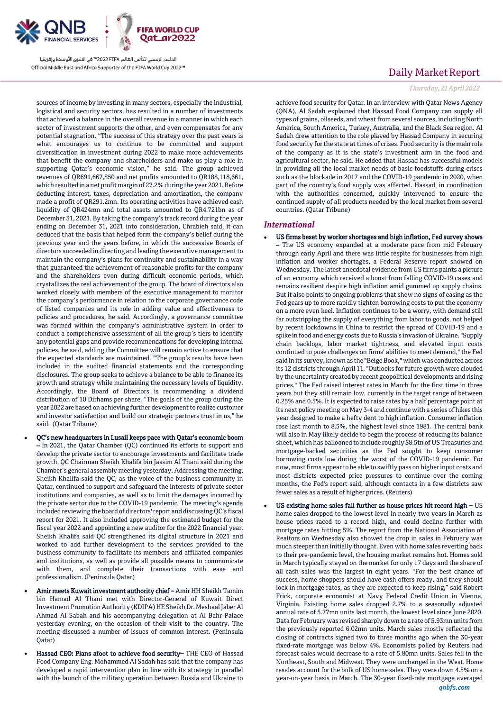

sources of income by investing in many sectors, especially the industrial, logistical and security sectors, has resulted in a number of investments that achieved a balance in the overall revenue in a manner in which each sector of investment supports the other, and even compensates for any potential stagnation. "The success of this strategy over the past years is what encourages us to continue to be committed and support diversification in investment during 2022 to make more achievements that benefit the company and shareholders and make us play a role in supporting Qatar's economic vision," he said. The group achieved revenues of QR691,667,850 and net profits amounted to QR188,118,661, which resulted in a net profit margin of 27.2% during the year 2021. Before deducting interest, taxes, depreciation and amortization, the company made a profit of QR291.2mn. Its operating activities have achieved cash liquidity of QR424mn and total assets amounted to QR4.721bn as of December 31, 2021. By taking the company's track record during the year ending on December 31, 2021 into consideration, Chrabieh said, it can deduced that the basis that helped form the company's belief during the previous year and the years before, in which the successive Boards of directors succeeded in directing and leading the executive management to maintain the company's plans for continuity and sustainability in a way that guaranteed the achievement of reasonable profits for the company and the shareholders even during difficult economic periods, which crystallizes the real achievement of the group. The board of directors also worked closely with members of the executive management to monitor the company's performance in relation to the corporate governance code of listed companies and its role in adding value and effectiveness to policies and procedures, he said. Accordingly, a governance committee was formed within the company's administrative system in order to conduct a comprehensive assessment of all the group's tiers to identify any potential gaps and provide recommendations for developing internal policies, he said, adding the Committee will remain active to ensure that the expected standards are maintained. "The group's results have been included in the audited financial statements and the corresponding disclosures. The group seeks to achieve a balance to be able to finance its growth and strategy while maintaining the necessary levels of liquidity. Accordingly, the Board of Directors is recommending a dividend distribution of 10 Dirhams per share. "The goals of the group during the year 2022 are based on achieving further development to realize customer and investor satisfaction and build our strategic partners trust in us," he said. (Qatar Tribune)

- QC's new headquarters in Lusail keeps pace with Qatar's economic boom – In 2021, the Qatar Chamber (QC) continued its efforts to support and develop the private sector to encourage investments and facilitate trade growth, QC Chairman Sheikh Khalifa bin Jassim Al Thani said during the Chamber's general assembly meeting yesterday. Addressing the meeting, Sheikh Khalifa said the QC, as the voice of the business community in Qatar, continued to support and safeguard the interests of private sector institutions and companies, as well as to limit the damages incurred by the private sector due to the COVID-19 pandemic. The meeting's agenda included reviewing the board of directors' report and discussing QC's fiscal report for 2021. It also included approving the estimated budget for the fiscal year 2022 and appointing a new auditor for the 2022 financial year. Sheikh Khalifa said QC strengthened its digital structure in 2021 and worked to add further development to the services provided to the business community to facilitate its members and affiliated companies and institutions, as well as provide all possible means to communicate with them, and complete their transactions with ease and professionalism. (Peninsula Qatar)
- Amir meets Kuwait investment authority chief Amir HH Sheikh Tamim bin Hamad Al Thani met with Director-General of Kuwait Direct Investment Promotion Authority (KDIPA) HE Sheikh Dr. Meshaal Jaber Al Ahmad Al Sabah and his accompanying delegation at Al Bahr Palace yesterday evening, on the occasion of their visit to the country. The meeting discussed a number of issues of common interest. (Peninsula Qatar)
- Hassad CEO: Plans afoot to achieve food security– THE CEO of Hassad Food Company Eng. Mohammed Al Sadah has said that the company has developed a rapid intervention plan in line with its strategy in parallel with the launch of the military operation between Russia and Ukraine to

## Daily Market Report

### *Thursday, 21April 2022*

achieve food security for Qatar. In an interview with Qatar News Agency (QNA), Al Sadah explained that Hassad Food Company can supply all types of grains, oilseeds, and wheat from several sources, including North America, South America, Turkey, Australia, and the Black Sea region. Al Sadah drew attention to the role played by Hassad Company in securing food security for the state at times of crises. Food security is the main role of the company as it is the state's investment arm in the food and agricultural sector, he said. He added that Hassad has successful models in providing all the local market needs of basic foodstuffs during crises such as the blockade in 2017 and the COVID-19 pandemic in 2020, when part of the country's food supply was affected. Hassad, in coordination with the authorities concerned, quickly intervened to ensure the continued supply of all products needed by the local market from several countries. (Qatar Tribune)

#### *International*

- US firms beset by worker shortages and high inflation, Fed survey shows – The US economy expanded at a moderate pace from mid February through early April and there was little respite for businesses from high inflation and worker shortages, a Federal Reserve report showed on Wednesday. The latest anecdotal evidence from US firms paints a picture of an economy which received a boost from falling COVID-19 cases and remains resilient despite high inflation amid gummed up supply chains. But it also points to ongoing problems that show no signs of easing as the Fed gears up to more rapidly tighten borrowing costs to put the economy on a more even keel. Inflation continues to be a worry, with demand still far outstripping the supply of everything from labor to goods, not helped by recent lockdowns in China to restrict the spread of COVID-19 and a spike in food and energy costs due to Russia's invasion of Ukraine. "Supply chain backlogs, labor market tightness, and elevated input costs continued to pose challenges on firms' abilities to meet demand," the Fed said in its survey, known as the "Beige Book," which was conducted across its 12 districts through April 11. "Outlooks for future growth were clouded by the uncertainty created by recent geopolitical developments and rising prices." The Fed raised interest rates in March for the first time in three years but they still remain low, currently in the target range of between 0.25% and 0.5%. It is expected to raise rates by a half percentage point at its next policy meeting on May 3-4 and continue with a series of hikes this year designed to make a hefty dent to high inflation. Consumer inflation rose last month to 8.5%, the highest level since 1981. The central bank will also in May likely decide to begin the process of reducing its balance sheet, which has ballooned to include roughly \$8.5tn of US Treasuries and mortgage-backed securities as the Fed sought to keep consumer borrowing costs low during the worst of the COVID-19 pandemic. For now, most firms appear to be able to swiftly pass on higher input costs and most districts expected price pressures to continue over the coming months, the Fed's report said, although contacts in a few districts saw fewer sales as a result of higher prices. (Reuters)
- US existing home sales fall further as house prices hit record high US home sales dropped to the lowest level in nearly two years in March as house prices raced to a record high, and could decline further with mortgage rates hitting 5%. The report from the National Association of Realtors on Wednesday also showed the drop in sales in February was much steeper than initially thought. Even with home sales reverting back to their pre-pandemic level, the housing market remains hot. Homes sold in March typically stayed on the market for only 17 days and the share of all cash sales was the largest in eight years. "For the best chance of success, home shoppers should have cash offers ready, and they should lock in mortgage rates, as they are expected to keep rising," said Robert Frick, corporate economist at Navy Federal Credit Union in Vienna, Virginia. Existing home sales dropped 2.7% to a seasonally adjusted annual rate of 5.77mn units last month, the lowest level since June 2020. Data for February was revised sharply down to a rate of 5.93mn units from the previously reported 6.02mn units. March sales mostly reflected the closing of contracts signed two to three months ago when the 30-year fixed-rate mortgage was below 4%. Economists polled by Reuters had forecast sales would decrease to a rate of 5.80mn units. Sales fell in the Northeast, South and Midwest. They were unchanged in the West. Home resales account for the bulk of US home sales. They were down 4.5% on a year-on-year basis in March. The 30-year fixed-rate mortgage averaged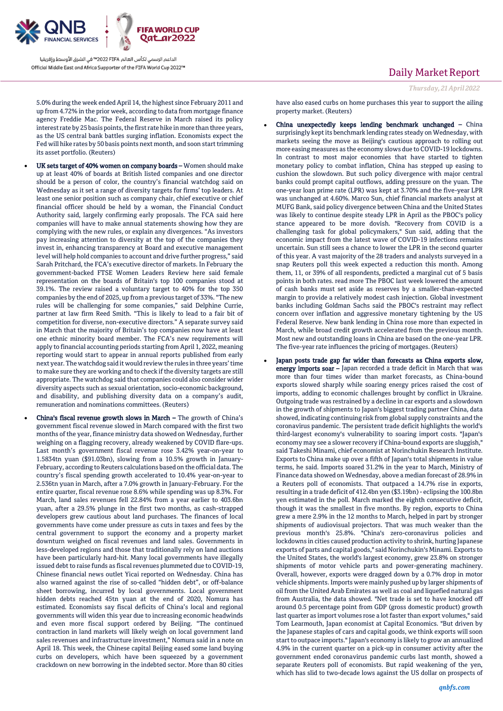

5.0% during the week ended April 14, the highest since February 2011 and up from 4.72% in the prior week, according to data from mortgage finance agency Freddie Mac. The Federal Reserve in March raised its policy interest rate by 25 basis points, the first rate hike in more than three years, as the US central bank battles surging inflation. Economists expect the Fed will hike rates by 50 basis points next month, and soon start trimming its asset portfolio. (Reuters)

- UK sets target of 40% women on company boards Women should make up at least 40% of boards at British listed companies and one director should be a person of color, the country's financial watchdog said on Wednesday as it set a range of diversity targets for firms' top leaders. At least one senior position such as company chair, chief executive or chief financial officer should be held by a woman, the Financial Conduct Authority said, largely confirming early proposals. The FCA said here companies will have to make annual statements showing how they are complying with the new rules, or explain any divergences. "As investors pay increasing attention to diversity at the top of the companies they invest in, enhancing transparency at Board and executive management level will help hold companies to account and drive further progress," said Sarah Pritchard, the FCA's executive director of markets. In February the government-backed FTSE Women Leaders Review here said female representation on the boards of Britain's top 100 companies stood at 39.1%. The review raised a voluntary target to 40% for the top 350 companies by the end of 2025, up from a previous target of 33%. "The new rules will be challenging for some companies," said Delphine Currie, partner at law firm Reed Smith. "This is likely to lead to a fair bit of competition for diverse, non-executive directors." A separate survey said in March that the majority of Britain's top companies now have at least one ethnic minority board member. The FCA's new requirements will apply to financial accounting periods starting from April 1, 2022, meaning reporting would start to appear in annual reports published from early next year. The watchdog said it would review the rules in three years' time to make sure they are working and to check if the diversity targets are still appropriate. The watchdog said that companies could also consider wider diversity aspects such as sexual orientation, socio-economic background, and disability, and publishing diversity data on a company's audit, remuneration and nominations committees. (Reuters)
- China's fiscal revenue growth slows in March The growth of China's government fiscal revenue slowed in March compared with the first two months of the year, finance ministry data showed on Wednesday, further weighing on a flagging recovery, already weakened by COVID flare-ups. Last month's government fiscal revenue rose 3.42% year-on-year to 1.5834tn yuan (\$91.03bn), slowing from a 10.5% growth in January-February, according to Reuters calculations based on the official data. The country's fiscal spending growth accelerated to 10.4% year-on-year to 2.536tn yuan in March, after a 7.0% growth in January-February. For the entire quarter, fiscal revenue rose 8.6% while spending was up 8.3%. For March, land sales revenues fell 22.84% from a year earlier to 403.6bn yuan, after a 29.5% plunge in the first two months, as cash-strapped developers grew cautious about land purchases. The finances of local governments have come under pressure as cuts in taxes and fees by the central government to support the economy and a property market downturn weighed on fiscal revenues and land sales. Governments in less-developed regions and those that traditionally rely on land auctions have been particularly hard-hit. Many local governments have illegally issued debt to raise funds as fiscal revenues plummeted due to COVID-19, Chinese financial news outlet Yicai reported on Wednesday. China has also warned against the rise of so-called "hidden debt", or off-balance sheet borrowing, incurred by local governments. Local government hidden debts reached 45tn yuan at the end of 2020, Nomura has estimated. Economists say fiscal deficits of China's local and regional governments will widen this year due to increasing economic headwinds and even more fiscal support ordered by Beijing. "The continued contraction in land markets will likely weigh on local government land sales revenues and infrastructure investment," Nomura said in a note on April 18. This week, the Chinese capital Beijing eased some land buying curbs on developers, which have been squeezed by a government crackdown on new borrowing in the indebted sector. More than 80 cities

## Daily Market Report

have also eased curbs on home purchases this year to support the ailing property market. (Reuters)

- China unexpectedly keeps lending benchmark unchanged China surprisingly kept its benchmark lending rates steady on Wednesday, with markets seeing the move as Beijing's cautious approach to rolling out more easing measures as the economy slows due to COVID-19 lockdowns. In contrast to most major economies that have started to tighten monetary policy to combat inflation, China has stepped up easing to cushion the slowdown. But such policy divergence with major central banks could prompt capital outflows, adding pressure on the yuan. The one-year loan prime rate (LPR) was kept at 3.70% and the five-year LPR was unchanged at 4.60%. Marco Sun, chief financial markets analyst at MUFG Bank, said policy divergence between China and the United States was likely to continue despite steady LPR in April as the PBOC's policy stance appeared to be more dovish. "Recovery from COVID is a challenging task for global policymakers," Sun said, adding that the economic impact from the latest wave of COVID-19 infections remains uncertain. Sun still sees a chance to lower the LPR in the second quarter of this year. A vast majority of the 28 traders and analysts surveyed in a snap Reuters poll this week expected a reduction this month. Among them, 11, or 39% of all respondents, predicted a marginal cut of 5 basis points in both rates. read more The PBOC last week lowered the amount of cash banks must set aside as reserves by a smaller-than-expected margin to provide a relatively modest cash injection. Global investment banks including Goldman Sachs said the PBOC's restraint may reflect concern over inflation and aggressive monetary tightening by the US Federal Reserve. New bank lending in China rose more than expected in March, while broad credit growth accelerated from the previous month. Most new and outstanding loans in China are based on the one-year LPR. The five-year rate influences the pricing of mortgages. (Reuters)
- Japan posts trade gap far wider than forecasts as China exports slow, energy imports soar - Japan recorded a trade deficit in March that was more than four times wider than market forecasts, as China-bound exports slowed sharply while soaring energy prices raised the cost of imports, adding to economic challenges brought by conflict in Ukraine. Outgoing trade was restrained by a decline in car exports and a slowdown in the growth of shipments to Japan's biggest trading partner China, data showed, indicating continuing risk from global supply constraints and the coronavirus pandemic. The persistent trade deficit highlights the world's third-largest economy's vulnerability to soaring import costs. "Japan's economy may see a slower recovery if China-bound exports are sluggish," said Takeshi Minami, chief economist at Norinchukin Research Institute. Exports to China make up over a fifth of Japan's total shipments in value terms, he said. Imports soared 31.2% in the year to March, Ministry of Finance data showed on Wednesday, above a median forecast of 28.9% in a Reuters poll of economists. That outpaced a 14.7% rise in exports, resulting in a trade deficit of 412.4bn yen (\$3.19bn) - eclipsing the 100.8bn yen estimated in the poll. March marked the eighth consecutive deficit, though it was the smallest in five months. By region, exports to China grew a mere 2.9% in the 12 months to March, helped in part by stronger shipments of audiovisual projectors. That was much weaker than the previous month's 25.8%. "China's zero-coronavirus policies and lockdowns in cities caused production activity to shrink, hurting Japanese exports of parts and capital goods," said Norinchukin's Minami. Exports to the United States, the world's largest economy, grew 23.8% on stronger shipments of motor vehicle parts and power-generating machinery. Overall, however, exports were dragged down by a 0.7% drop in motor vehicle shipments. Imports were mainly pushed up by larger shipments of oil from the United Arab Emirates as well as coal and liquefied natural gas from Australia, the data showed. "Net trade is set to have knocked off around 0.5 percentage point from GDP (gross domestic product) growth last quarter as import volumes rose a lot faster than export volumes," said Tom Learmouth, Japan economist at Capital Economics. "But driven by the Japanese staples of cars and capital goods, we think exports will soon start to outpace imports." Japan's economy is likely to grow an annualized 4.9% in the current quarter on a pick-up in consumer activity after the government ended coronavirus pandemic curbs last month, showed a separate Reuters poll of economists. But rapid weakening of the yen, which has slid to two-decade lows against the US dollar on prospects of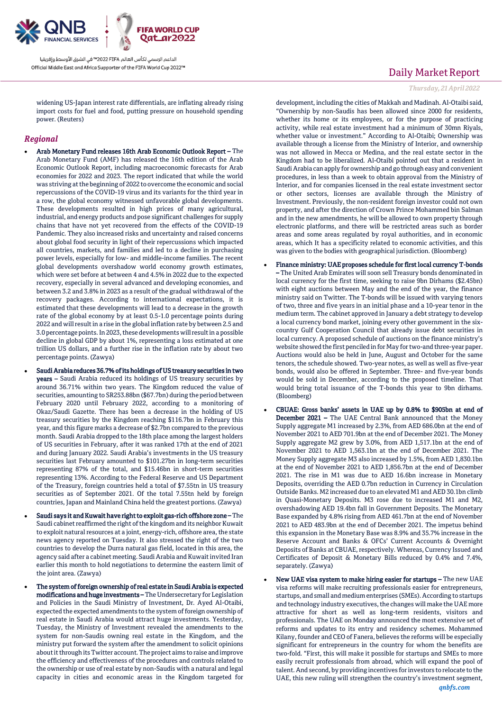

widening US-Japan interest rate differentials, are inflating already rising import costs for fuel and food, putting pressure on household spending power. (Reuters)

### *Regional*

- Arab Monetary Fund releases 16th Arab Economic Outlook Report The Arab Monetary Fund (AMF) has released the 16th edition of the Arab Economic Outlook Report, including macroeconomic forecasts for Arab economies for 2022 and 2023. The report indicated that while the world was striving at the beginning of 2022 to overcome the economic and social repercussions of the COVID-19 virus and its variants for the third year in a row, the global economy witnessed unfavorable global developments. These developments resulted in high prices of many agricultural, industrial, and energy products and pose significant challenges for supply chains that have not yet recovered from the effects of the COVID-19 Pandemic. They also increased risks and uncertainty and raised concerns about global food security in light of their repercussions which impacted all countries, markets, and families and led to a decline in purchasing power levels, especially for low- and middle-income families. The recent global developments overshadow world economy growth estimates, which were set before at between 4 and 4.5% in 2022 due to the expected recovery, especially in several advanced and developing economies, and between 3.2 and 3.8% in 2023 as a result of the gradual withdrawal of the recovery packages. According to international expectations, it is estimated that these developments will lead to a decrease in the growth rate of the global economy by at least 0.5-1.0 percentage points during 2022 and will result in a rise in the global inflation rate by between 2.5 and 3.0 percentage points. In 2023, these developments will result in a possible decline in global GDP by about 1%, representing a loss estimated at one trillion US dollars, and a further rise in the inflation rate by about two percentage points. (Zawya)
- Saudi Arabia reduces 36.7% of its holdings of US treasury securities in two years – Saudi Arabia reduced its holdings of US treasury securities by around 36.71% within two years. The Kingdom reduced the value of securities, amounting to SR253.88bn (\$67.7bn) during the period between February 2020 until February 2022, according to a monitoring of Okaz/Saudi Gazette. There has been a decrease in the holding of US treasury securities by the Kingdom reaching \$116.7bn in February this year, and this figure marks a decrease of \$2.7bn compared to the previous month. Saudi Arabia dropped to the 18th place among the largest holders of US securities in February, after it was ranked 17th at the end of 2021 and during January 2022. Saudi Arabia's investments in the US treasury securities last February amounted to \$101.27bn in long-term securities representing 87% of the total, and \$15.46bn in short-term securities representing 13%. According to the Federal Reserve and US Department of the Treasury, foreign countries held a total of \$7.55tn in US treasury securities as of September 2021. Of the total 7.55tn held by foreign countries, Japan and Mainland China held the greatest portions. (Zawya)
- Saudi says it and Kuwait have right to exploit gas-rich offshore zone The Saudi cabinet reaffirmed the right of the kingdom and its neighbor Kuwait to exploit natural resources at a joint, energy-rich, offshore area, the state news agency reported on Tuesday. It also stressed the right of the two countries to develop the Durra natural gas field, located in this area, the agency said after a cabinet meeting. Saudi Arabia and Kuwait invited Iran earlier this month to hold negotiations to determine the eastern limit of the joint area. (Zawya)
- The system of foreign ownership of real estate in Saudi Arabia is expected modifications and huge investments – The Undersecretary for Legislation and Policies in the Saudi Ministry of Investment, Dr. Ayed Al-Otaibi, expected the expected amendments to the system of foreign ownership of real estate in Saudi Arabia would attract huge investments. Yesterday, Tuesday, the Ministry of Investment revealed the amendments to the system for non-Saudis owning real estate in the Kingdom, and the ministry put forward the system after the amendment to solicit opinions about it through its Twitter account. The project aims to raise and improve the efficiency and effectiveness of the procedures and controls related to the ownership or use of real estate by non-Saudis with a natural and legal capacity in cities and economic areas in the Kingdom targeted for

## Daily Market Report

### *Thursday, 21April 2022*

development, including the cities of Makkah and Madinah. Al-Otaibi said, "Ownership by non-Saudis has been allowed since 2000 for residents, whether its home or its employees, or for the purpose of practicing activity, while real estate investment had a minimum of 30mn Riyals, whether value or investment." According to Al-Otaibi; Ownership was available through a license from the Ministry of Interior, and ownership was not allowed in Mecca or Medina, and the real estate sector in the Kingdom had to be liberalized. Al-Otaibi pointed out that a resident in Saudi Arabia can apply for ownership and go through easy and convenient procedures, in less than a week to obtain approval from the Ministry of Interior, and for companies licensed in the real estate investment sector or other sectors, licenses are available through the Ministry of Investment. Previously, the non-resident foreign investor could not own property, and after the direction of Crown Prince Mohammed bin Salman and in the new amendments, he will be allowed to own property through electronic platforms, and there will be restricted areas such as border areas and some areas regulated by royal authorities, and in economic areas, which It has a specificity related to economic activities, and this was given to the bodies with geographical jurisdiction. (Bloomberg)

- Finance ministry: UAE proposes schedule for first local currency T-bonds – The United Arab Emirates will soon sell Treasury bonds denominated in local currency for the first time, seeking to raise 9bn Dirhams (\$2.45bn) with eight auctions between May and the end of the year, the finance ministry said on Twitter. The T-bonds will be issued with varying tenors of two, three and five years in an initial phase and a 10-year tenor in the medium term. The cabinet approved in January a debt strategy to develop a local currency bond market, joining every other government in the sixcountry Gulf Cooperation Council that already issue debt securities in local currency. A proposed schedule of auctions on the finance ministry's website showed the first penciled in for May for two-and three-year paper. Auctions would also be held in June, August and October for the same tenors, the schedule showed. Two-year notes, as well as well as five-year bonds, would also be offered in September. Three- and five-year bonds would be sold in December, according to the proposed timeline. That would bring total issuance of the T-bonds this year to 9bn dirhams. (Bloomberg)
- CBUAE: Gross banks' assets in UAE up by 0.8% to \$905bn at end of December 2021 – The UAE Central Bank announced that the Money Supply aggregate M1 increased by 2.3%, from AED 686.0bn at the end of November 2021 to AED 701.9bn at the end of December 2021. The Money Supply aggregate M2 grew by 3.0%, from AED 1,517.1bn at the end of November 2021 to AED 1,563.1bn at the end of December 2021. The Money Supply aggregate M3 also increased by 1.5%, from AED 1,830.1bn at the end of November 2021 to AED 1,856.7bn at the end of December 2021. The rise in M1 was due to AED 16.6bn increase in Monetary Deposits, overriding the AED 0.7bn reduction in Currency in Circulation Outside Banks. M2 increased due to an elevated M1 and AED 30.1bn climb in Quasi-Monetary Deposits. M3 rose due to increased M1 and M2, overshadowing AED 19.4bn fall in Government Deposits. The Monetary Base expanded by 4.8% rising from AED 461.7bn at the end of November 2021 to AED 483.9bn at the end of December 2021. The impetus behind this expansion in the Monetary Base was 8.9% and 35.7% increase in the Reserve Account and Banks & OFCs' Current Accounts & Overnight Deposits of Banks at CBUAE, respectively. Whereas, Currency Issued and Certificates of Deposit & Monetary Bills reduced by 0.4% and 7.4%, separately. (Zawya)
- New UAE visa system to make hiring easier for startups The new UAE visa reforms will make recruiting professionals easier for entrepreneurs, startups, and small and medium enterprises (SMEs). According to startups and technology industry executives, the changes will make the UAE more attractive for short as well as long-term residents, visitors and professionals. The UAE on Monday announced the most extensive set of reforms and updates to its entry and residency schemes. Mohammed Kilany, founder and CEO of Fanera, believes the reforms will be especially significant for entrepreneurs in the country for whom the benefits are two-fold. "First, this will make it possible for startups and SMEs to more easily recruit professionals from abroad, which will expand the pool of talent. And second, by providing incentives for investors to relocate to the UAE, this new ruling will strengthen the country's investment segment,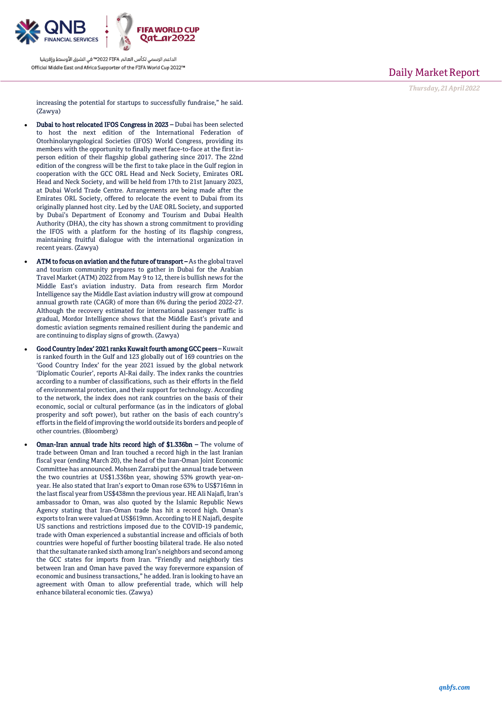

Daily Market Report

*Thursday, 21April 2022*

increasing the potential for startups to successfully fundraise," he said. (Zawya)

- Dubai to host relocated IFOS Congress in 2023 Dubai has been selected to host the next edition of the International Federation of Otorhinolaryngological Societies (IFOS) World Congress, providing its members with the opportunity to finally meet face-to-face at the first inperson edition of their flagship global gathering since 2017. The 22nd edition of the congress will be the first to take place in the Gulf region in cooperation with the GCC ORL Head and Neck Society, Emirates ORL Head and Neck Society, and will be held from 17th to 21st January 2023, at Dubai World Trade Centre. Arrangements are being made after the Emirates ORL Society, offered to relocate the event to Dubai from its originally planned host city. Led by the UAE ORL Society, and supported by Dubai's Department of Economy and Tourism and Dubai Health Authority (DHA), the city has shown a strong commitment to providing the IFOS with a platform for the hosting of its flagship congress, maintaining fruitful dialogue with the international organization in recent years. (Zawya)
- ATM to focus on aviation and the future of transport As the global travel and tourism community prepares to gather in Dubai for the Arabian Travel Market (ATM) 2022 from May 9 to 12, there is bullish news for the Middle East's aviation industry. Data from research firm Mordor Intelligence say the Middle East aviation industry will grow at compound annual growth rate (CAGR) of more than 6% during the period 2022-27. Although the recovery estimated for international passenger traffic is gradual, Mordor Intelligence shows that the Middle East's private and domestic aviation segments remained resilient during the pandemic and are continuing to display signs of growth. (Zawya)
- Good Country Index' 2021 ranks Kuwait fourth among GCC peers –Kuwait is ranked fourth in the Gulf and 123 globally out of 169 countries on the 'Good Country Index' for the year 2021 issued by the global network 'Diplomatic Courier', reports Al-Rai daily. The index ranks the countries according to a number of classifications, such as their efforts in the field of environmental protection, and their support for technology. According to the network, the index does not rank countries on the basis of their economic, social or cultural performance (as in the indicators of global prosperity and soft power), but rather on the basis of each country's efforts in the field of improving the world outside its borders and people of other countries. (Bloomberg)
- Oman-Iran annual trade hits record high of \$1.336bn The volume of trade between Oman and Iran touched a record high in the last Iranian fiscal year (ending March 20), the head of the Iran-Oman Joint Economic Committee has announced. Mohsen Zarrabi put the annual trade between the two countries at US\$1.336bn year, showing 53% growth year-onyear. He also stated that Iran's export to Oman rose 63% to US\$716mn in the last fiscal year from US\$438mn the previous year. HE Ali Najafi, Iran's ambassador to Oman, was also quoted by the Islamic Republic News Agency stating that Iran-Oman trade has hit a record high. Oman's exports to Iran were valued at US\$619mn. According to H E Najafi, despite US sanctions and restrictions imposed due to the COVID-19 pandemic, trade with Oman experienced a substantial increase and officials of both countries were hopeful of further boosting bilateral trade. He also noted that the sultanate ranked sixth among Iran's neighbors and second among the GCC states for imports from Iran. "Friendly and neighborly ties between Iran and Oman have paved the way forevermore expansion of economic and business transactions," he added. Iran is looking to have an agreement with Oman to allow preferential trade, which will help enhance bilateral economic ties. (Zawya)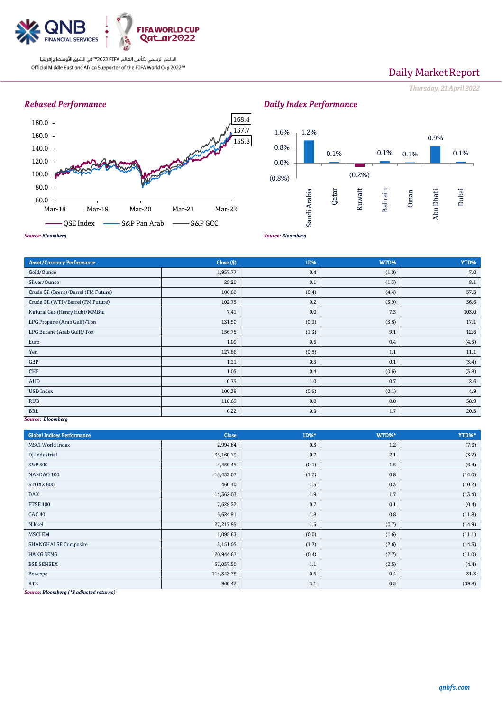

# Daily Market Report

*Thursday, 21April 2022*

## *Rebased Performance*



## *Daily Index Performance*



## Asset/Currency Performance Close (\$) 1D% WTD% YTD% Gold/Ounce (1.0) 7.0 (1.0) 7.0 (1.0) 7.0 (1.0) 7.0 (1.0) 7.0 (1.0) 7.0 (1.0) 7.0 (1.0) 7.0 (1.0) 7.0 (1.0) 7.0 Silver/Ounce 25.20 0.1 (1.3) 8.1 Crude Oil (Brent)/Barrel (FM Future) 106.80 (0.4) (37.3 Crude Oil (WTI)/Barrel (FM Future) 102.75 0.2 (3.9) 36.6 Natural Gas (Henry Hub)/MMBtu 103.0 103.0 103.0 103.0 103.0 103.0 103.0 103.0 103.0 103.0 103.0 103.0 103.0 10 LPG Propane (Arab Gulf)/Ton 131.50 (0.9) (3.8) (3.8) (3.8) 17.1 LPG Butane (Arab Gulf)/Ton 12.6 (1.3) 9.1 12.6 (1.3) 9.1 12.6 Euro  $1.09$   $0.6$   $0.4$   $0.4$  (4.5) Yen  $127.86$   $(0.8)$   $1.1$   $1.1$   $1.1$ GBP  $1.31$   $0.5$  0.1 (3.4) CHF  $0.6$  (3.8) (3.8) (3.8) (3.8) (3.8) (3.8) (3.8) (3.8) (3.8) (3.8) (3.8) (3.8) (3.8) (3.8) (3.8) (3.8) (3.8) (3.8) (3.8) (3.8) (3.8) (3.8) (3.8) (3.8) (3.8) (3.8) (3.8) (3.8) (3.8) (3.8) (3.8) (3.8) (3.8) (3.8) (3.8) ( AUD  $0.75$   $\vert$   $0.75$   $\vert$   $1.0$   $\vert$   $0.7$   $\vert$   $0.7$   $\vert$   $0.7$   $0.7$   $0.7$   $0.7$   $0.7$   $0.7$   $0.7$   $0.7$   $0.7$   $0.7$   $0.7$   $0.7$   $0.7$   $0.7$   $0.7$   $0.7$   $0.7$   $0.7$   $0.7$   $0.7$   $0.7$   $0.7$   $0.7$   $0.7$   $0.7$   $0.7$   $0.7$ USD Index (0.1)  $100.39$  (0.6)  $(0.6)$  (0.6)  $(0.1)$  (0.1)  $4.9$ RUB 118.69  $\vert$  58.9  $\vert$  58.9  $\vert$  58.9  $\vert$  58.9  $\vert$  58.9  $\vert$  58.9  $\vert$  58.9  $\vert$  58.9  $\vert$  58.9  $\vert$  58.9  $\vert$  58.9  $\vert$  58.9  $\vert$  58.9  $\vert$  58.9  $\vert$  58.9  $\vert$  58.9  $\vert$  58.9  $\vert$  58.9  $\vert$  58.9  $\vert$  58.9  $\vert$  58.9 BRL  $0.22$   $0.2$   $0.9$   $1.7$   $1.7$   $20.5$

### *Source: Bloomberg*

| <b>Global Indices Performance</b> | <b>Close</b> | 1D%*  | WTD%* | YTD%*  |
|-----------------------------------|--------------|-------|-------|--------|
| <b>MSCI</b> World Index           | 2,994.64     | 0.3   | 1.2   | (7.3)  |
| DJ Industrial                     | 35,160.79    | 0.7   | 2.1   | (3.2)  |
| S&P 500                           | 4,459.45     | (0.1) | 1.5   | (6.4)  |
| NASDAQ 100                        | 13,453.07    | (1.2) | 0.8   | (14.0) |
| STOXX 600                         | 460.10       | 1.3   | 0.3   | (10.2) |
| <b>DAX</b>                        | 14,362.03    | 1.9   | 1.7   | (13.4) |
| <b>FTSE 100</b>                   | 7,629.22     | 0.7   | 0.1   | (0.4)  |
| <b>CAC 40</b>                     | 6,624.91     | 1.8   | 0.8   | (11.8) |
| Nikkei                            | 27,217.85    | 1.5   | (0.7) | (14.9) |
| <b>MSCI EM</b>                    | 1,095.63     | (0.0) | (1.6) | (11.1) |
| <b>SHANGHAI SE Composite</b>      | 3,151.05     | (1.7) | (2.6) | (14.3) |
| <b>HANG SENG</b>                  | 20,944.67    | (0.4) | (2.7) | (11.0) |
| <b>BSE SENSEX</b>                 | 57,037.50    | 1.1   | (2.5) | (4.4)  |
| Bovespa                           | 114,343.78   | 0.6   | 0.4   | 31.3   |
| <b>RTS</b>                        | 960.42       | 3.1   | 0.5   | (39.8) |

*Source: Bloomberg (\*\$ adjusted returns)*